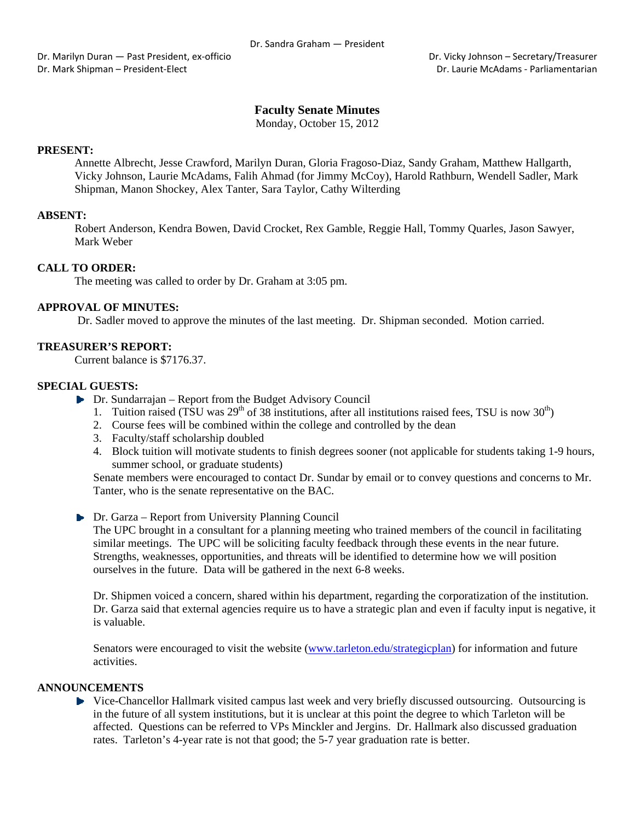Dr. Marilyn Duran — Past President, ex-officio **Britannia Company** Dr. Vicky Johnson – Secretary/Treasurer Dr. Mark Shipman – President‐Elect Dr. Laurie McAdams ‐ Parliamentarian

# **Faculty Senate Minutes**

Monday, October 15, 2012

### **PRESENT:**

Annette Albrecht, Jesse Crawford, Marilyn Duran, Gloria Fragoso-Diaz, Sandy Graham, Matthew Hallgarth, Vicky Johnson, Laurie McAdams, Falih Ahmad (for Jimmy McCoy), Harold Rathburn, Wendell Sadler, Mark Shipman, Manon Shockey, Alex Tanter, Sara Taylor, Cathy Wilterding

### **ABSENT:**

Robert Anderson, Kendra Bowen, David Crocket, Rex Gamble, Reggie Hall, Tommy Quarles, Jason Sawyer, Mark Weber

### **CALL TO ORDER:**

The meeting was called to order by Dr. Graham at 3:05 pm.

### **APPROVAL OF MINUTES:**

Dr. Sadler moved to approve the minutes of the last meeting. Dr. Shipman seconded. Motion carried.

### **TREASURER'S REPORT:**

Current balance is \$7176.37.

### **SPECIAL GUESTS:**

- ▶ Dr. Sundarrajan Report from the Budget Advisory Council
	- 1. Tuition raised (TSU was  $29^{th}$  of 38 institutions, after all institutions raised fees, TSU is now  $30^{th}$ )
	- 2. Course fees will be combined within the college and controlled by the dean
	- 3. Faculty/staff scholarship doubled
	- 4. Block tuition will motivate students to finish degrees sooner (not applicable for students taking 1-9 hours, summer school, or graduate students)

Senate members were encouraged to contact Dr. Sundar by email or to convey questions and concerns to Mr. Tanter, who is the senate representative on the BAC.

▶ Dr. Garza – Report from University Planning Council

The UPC brought in a consultant for a planning meeting who trained members of the council in facilitating similar meetings. The UPC will be soliciting faculty feedback through these events in the near future. Strengths, weaknesses, opportunities, and threats will be identified to determine how we will position ourselves in the future. Data will be gathered in the next 6-8 weeks.

Dr. Shipmen voiced a concern, shared within his department, regarding the corporatization of the institution. Dr. Garza said that external agencies require us to have a strategic plan and even if faculty input is negative, it is valuable.

Senators were encouraged to visit the website (www.tarleton.edu/strategicplan) for information and future activities.

#### **ANNOUNCEMENTS**

• Vice-Chancellor Hallmark visited campus last week and very briefly discussed outsourcing. Outsourcing is in the future of all system institutions, but it is unclear at this point the degree to which Tarleton will be affected. Questions can be referred to VPs Minckler and Jergins. Dr. Hallmark also discussed graduation rates. Tarleton's 4-year rate is not that good; the 5-7 year graduation rate is better.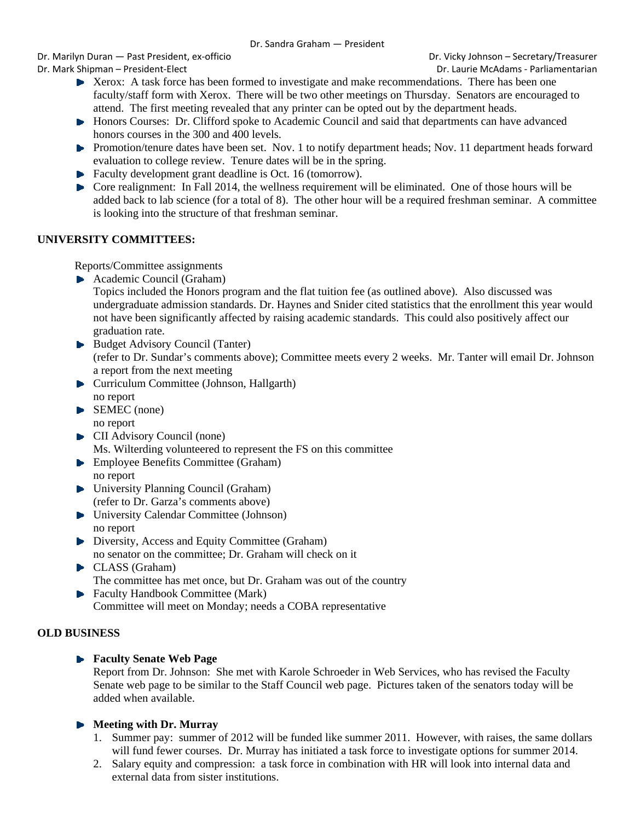Dr. Marilyn Duran — Past President, ex‐officio Dr. Vicky Johnson – Secretary/Treasurer Dr. Mark Shipman – President‐Elect Dr. Laurie McAdams ‐ Parliamentarian

- $\blacktriangleright$  Xerox: A task force has been formed to investigate and make recommendations. There has been one faculty/staff form with Xerox. There will be two other meetings on Thursday. Senators are encouraged to attend. The first meeting revealed that any printer can be opted out by the department heads.
- ► Honors Courses: Dr. Clifford spoke to Academic Council and said that departments can have advanced honors courses in the 300 and 400 levels.
- **Promotion/tenure dates have been set.** Nov. 1 to notify department heads; Nov. 11 department heads forward evaluation to college review. Tenure dates will be in the spring.
- Faculty development grant deadline is Oct. 16 (tomorrow).
- Core realignment: In Fall 2014, the wellness requirement will be eliminated. One of those hours will be added back to lab science (for a total of 8). The other hour will be a required freshman seminar. A committee is looking into the structure of that freshman seminar.

# **UNIVERSITY COMMITTEES:**

Reports/Committee assignments

- Academic Council (Graham)
	- Topics included the Honors program and the flat tuition fee (as outlined above). Also discussed was undergraduate admission standards. Dr. Haynes and Snider cited statistics that the enrollment this year would not have been significantly affected by raising academic standards. This could also positively affect our graduation rate.
- Budget Advisory Council (Tanter) (refer to Dr. Sundar's comments above); Committee meets every 2 weeks. Mr. Tanter will email Dr. Johnson a report from the next meeting
- Curriculum Committee (Johnson, Hallgarth) no report
- SEMEC (none) no report
- **CII Advisory Council (none)** Ms. Wilterding volunteered to represent the FS on this committee
- **Employee Benefits Committee (Graham)** no report
- ▶ University Planning Council (Graham) (refer to Dr. Garza's comments above)
- University Calendar Committee (Johnson) no report
- Diversity, Access and Equity Committee (Graham) no senator on the committee; Dr. Graham will check on it
- CLASS (Graham) The committee has met once, but Dr. Graham was out of the country
- ▶ Faculty Handbook Committee (Mark) Committee will meet on Monday; needs a COBA representative

# **OLD BUSINESS**

# **Faculty Senate Web Page**

Report from Dr. Johnson: She met with Karole Schroeder in Web Services, who has revised the Faculty Senate web page to be similar to the Staff Council web page. Pictures taken of the senators today will be added when available.

# **Meeting with Dr. Murray**

- 1. Summer pay: summer of 2012 will be funded like summer 2011. However, with raises, the same dollars will fund fewer courses. Dr. Murray has initiated a task force to investigate options for summer 2014.
- 2. Salary equity and compression: a task force in combination with HR will look into internal data and external data from sister institutions.